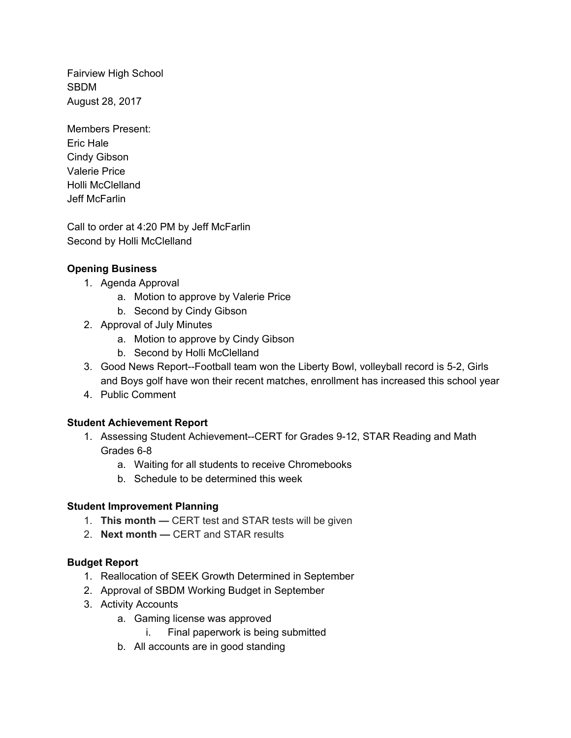Fairview High School SBDM August 28, 2017

Members Present: Eric Hale Cindy Gibson Valerie Price Holli McClelland Jeff McFarlin

 Call to order at 4:20 PM by Jeff McFarlin Second by Holli McClelland

# **Opening Business**

- 1. Agenda Approval
	- a. Motion to approve by Valerie Price
	- b. Second by Cindy Gibson
- 2. Approval of July Minutes
	- a. Motion to approve by Cindy Gibson
	- b. Second by Holli McClelland
- 3. Good News Report--Football team won the Liberty Bowl, volleyball record is 5-2, Girls and Boys golf have won their recent matches, enrollment has increased this school year
- 4. Public Comment

# **Student Achievement Report**

- 1. Assessing Student Achievement--CERT for Grades 9-12, STAR Reading and Math Grades 6-8
	- a. Waiting for all students to receive Chromebooks
	- b. Schedule to be determined this week

### **Student Improvement Planning**

- 1. **This month —** CERT test and STAR tests will be given
- 2. **Next month —** CERT and STAR results

### **Budget Report**

- 1. Reallocation of SEEK Growth Determined in September
- 2. Approval of SBDM Working Budget in September
- 3. Activity Accounts
	- a. Gaming license was approved
		- i. Final paperwork is being submitted
	- b. All accounts are in good standing